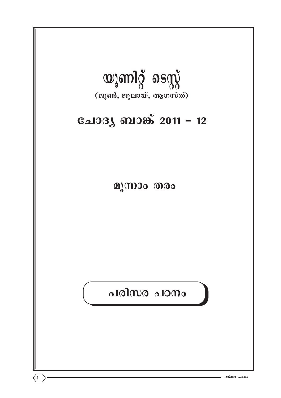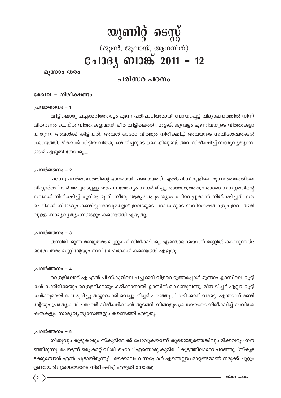# യൂണിറ്റ് ടെസ്റ്റ് (ജൂൺ, ജൂലായ്, ആഗസ്ത്) **ചോദ്യ ബാങ്ക് 2011 - 12**

മൂന്നാം തരം

# പരിസര പഠനം

### മേഖല - നിരീക്ഷണം

### പ്രവർത്തനം - 1

വീട്ടിലൊരു പച്ചക്കറിത്തോട്ടം എന്ന പരിപാടിയുമായി ബന്ധപ്പെട്ട് വിദ്യാലയത്തിൽ നിന്ന് വിതരണം ചെയ്ത വിത്തുകളുമായി മീര വീട്ടിലെത്തി. മുളക്, കുമ്പളം എന്നിവയുടെ വിത്തുകളാ യിരുന്നു അവൾക്ക് കിട്ടിയത്. അവൾ ഓരോ വിത്തും നിരീക്ഷിച്ച് അവയുടെ സവിശേഷതകൾ കണ്ടെത്തി. മീരയ്ക്ക് കിട്ടിയ വിത്തുകൾ ടീച്ചറുടെ കൈയിലുണ്ട്. അവ നിരീക്ഷിച്ച് സാമൃവൃത്യാസ ങ്ങൾ എഴുതി നോക്കൂ....

#### പ്രവർത്തനം – 2

പഠന പ്രവർത്തനത്തിന്റെ ഭാഗമായി പഞ്ചായത്ത് എൽ.പി.സ്കൂളിലെ മൂന്നാംതരത്തിലെ വിദ്യാർത്ഥികൾ അടുത്തുള്ള ഔഷധത്തോട്ടം സന്ദർശിച്ചു. ഓരോരുത്തരും ഓരോ സസ്യത്തിന്റെ ഇലകൾ നിരീക്ഷിച്ച് കുറിപ്പെഴുതി. നീതു ആര്യവേപ്പും ശ്യാം കറിവേപ്പുമാണ് നിരീക്ഷിച്ചത്. ഈ ചെടികൾ നിങ്ങളും കണ്ടിട്ടുണ്ടാവുമല്ലോ? ഇവയുടെ ഇലകളുടെ സവിശേഷതകളും ഇവ തമ്മി ലുള്ള സാമ്യവ്യത്യാസങ്ങളും കണ്ടെത്തി എഴുതു.

#### പ്രവർത്തനം - 3

തന്നിരിക്കുന്ന രണ്ടുതരം മണ്ണുകൾ നിരീക്ഷിക്കൂ. എന്തൊക്കെയാണ് മണ്ണിൽ കാണുന്നത്? ഓരോ തരം മണ്ണിന്റേയും സവിശേഷതകൾ കണ്ടെത്തി എഴുതു.

#### പ്രവർത്തനം - 4

വെള്ളിലോട് എ.എൽ.പി.സ്കൂളിലെ പച്ചക്കറി വിളവെടുത്തപ്പോൾ മൂന്നാം ക്ലാസിലെ കുട്ടി കൾ കക്കിരിക്കയും വെള്ളരിക്കയും കഴിക്കാനായി ക്ലാസിൽ കൊണ്ടുവന്നു. മീന ടീച്ചർ എല്ലാ കുട്ടി കൾക്കുമായി ഇവ മുറിച്ചു തയ്യാറാക്കി വെച്ചു .ടീച്ചർ പറഞ്ഞു , ' കഴിക്കാൻ വരട്ടെ എന്താണ് രണ്ടി ന്റേയും പ്രത്യേകത' ? അവർ നിരീക്ഷിക്കാൻ തുടങ്ങി. നിങ്ങളും ശ്രദ്ധയോടെ നിരീക്ഷിച്ച് സവിശേ ഷതകളും സാമൃവൃത്യാസങ്ങളും കണ്ടെത്തി എഴുതു.

#### പ്രവർത്തനം - 5

 $^{\prime}$ 

ഗീതുവും കൂട്ടുകാരും സ്കൂളിലേക്ക് പോവുകയാണ് കൂടയെടുത്തെങ്കിലും മിക്കവരും നന ഞ്ഞിരുന്നു, പെട്ടെന്ന് ഒരു കാറ്റ് വീശി. ഹൊ ! 'എന്തൊരു കുളിര്...' കുട്ടത്തിലാരോ പറഞ്ഞു. 'സ്കുള ടക്കുമ്പോൾ എന്ത് ചൂടായിരുന്നു' . മഴക്കാലം വന്നപ്പോൾ എന്തെല്ലാം മാറ്റങ്ങളാണ് നമുക്ക് ചുറ്റും ഉണ്ടായത്? ശ്രദ്ധയോടെ നിരീക്ഷിച്ച് എഴുതി നോക്കു

പരിസര പറനം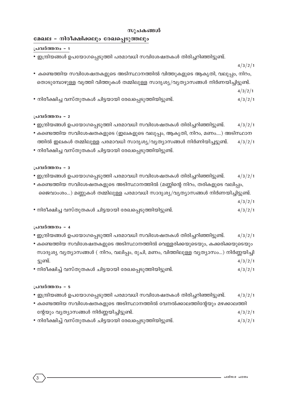### സൂചകങ്ങൾ

# **മേഖല - നിരീക്ഷിക്കലും രേഖപ്പെടുത്തലും**

**പ്രവർത്തനം** – 1

- ഇന്ദ്രിയങ്ങൾ ഉപയോഗപ്പെടുത്തി പരമാവധി സവിശേഷതകൾ തിരിച്ചറിഞ്ഞിട്ടുണ്ട്.
- 4/3/2/1

4/3/2/1

- $\bullet$  കണ്ടെത്തിയ സവിശേഷതകളുടെ അടിസ്ഥാനത്തിൽ വിത്തുകളുടെ ആകൃതി, വലുപ്പം, നിറം, യൊടുമ്പോഴുള്ള വൃത്തി വിത്തുകൾ തമ്മിലുള്ള സാദൃശൃ/വൃത്യാസങ്ങൾ നിർണയിച്ചിട്ടുണ്ട്.
	- 4/3/2/1
- നിരീക്ഷിച്ച വസ്തുതകൾ ചിട്ടയായി രേഖപ്പെടുത്തിയിട്ടുണ്ട്.  $4/3/2/1$

### **പ്രവർത്തനം - 2**

- ഇന്ദ്രിയങ്ങൾ ഉപയോഗപ്പെടുത്തി പരമാവധി സവിശേഷതകൾ തിരിച്ചറിഞ്ഞിട്ടുണ്ട്.  $\mu/3/2/1$
- കണ്ടെത്തിയ സവിശേഷതകളുടെ (ഇലകളുടെ വലുപ്പം, ആകൃതി, നിറം, മണം....) അടിസ്ഥാന ത്തിൽ ഇലകൾ തമ്മിലുള്ള പരമാവധി സാദൃശൃ/വൃതൃാസങ്ങൾ നിർണിയിച്ചട്ടുണ്ട്.  $4/3/2/1$
- നിരീക്ഷിച്ച വസ്തുതകൾ ചിട്ടയായി രേഖപ്പെടുത്തിയിട്ടുണ്ട്.

### **പ്രവർത്തനം - 3**

- ഇന്ദ്രിയങ്ങൾ ഉപയോഗപ്പെടുത്തി പരമാവധി സവിശേഷതകൾ തിരിച്ചറിഞ്ഞിട്ടുണ്ട്.  $4/3/2/1$
- $\bullet$  കണ്ടെത്തിയ സവിശേഷതകളുടെ അടിസ്ഥാനത്തിൽ (മണ്ണിന്റെ നിറം, തരികളുടെ വലിപ്പം, ജൈവാംശം...) മണ്ണുകൾ തമ്മിലുള്ള പരമാവധി സാദൃശൃ/വൃത്യാസങ്ങൾ നിർണയിച്ചിട്ടുണ്ട്.
- നിരീക്ഷിച്ച വസ്തുതകൾ ചിട്ടയായി രേഖപ്പെടുത്തിയിട്ടുണ്ട്.  $4/3/2/1$

### **പ്രവർത്തനം - 4**

- ഇന്ദ്രിയങ്ങൾ ഉപയോഗപ്പെടുത്തി പരമാവധി സവിശേഷതകൾ തിരിച്ചറിഞ്ഞിട്ടുണ്ട്.  $4/3/2/1$
- കണ്ടെത്തിയ സവിശേഷതകളുടെ അടിസ്ഥാനത്തിൽ വെള്ളരിക്കയുടെയും, കക്കരിക്കയുടെയും സാദൃശ്യ വൃത്യാസങ്ങൾ ( നിറം, വലിപ്പം, രൂചി, മണം, വിത്തിലുള്ള വൃത്യാസം...) നിർണ്ണയിച്ചി ട്ടുണ്ട്.  $4/3/2/1$
- നിരീക്ഷിച്ച് വസ്തുതകൾ ചിട്ടയായി രേഖപ്പെടുത്തിയിട്ടുണ്ട്.  $4/3/2/1$

### **പ്രവർത്തനം - 5**

- ഇന്ദ്രിയങ്ങൾ ഉപയോഗപ്പെടുത്തി പരമാവധി സവിശേഷതകൾ തിരിച്ചറിഞ്ഞിട്ടുണ്ട്.  $\mu/3/2/1$
- കണ്ടെത്തിയ സവിശേഷതകളുടെ അടിസ്ഥാനത്തിൽ വേനൽക്കാലത്തിന്റേയും മഴക്കാലത്തി ന്റേയും വ്യത്യാസങ്ങൾ നിർണ്ണയിച്ചിട്ടുണ്ട്. കാര്യം കാര്യമായ കാര്യമായ 1/3/2/1
- നിരീക്ഷിച്ച് വസ്തുതകൾ ചിട്ടയായി രേഖപ്പെടുത്തിയിട്ടുണ്ട്.  $4/3/2/1$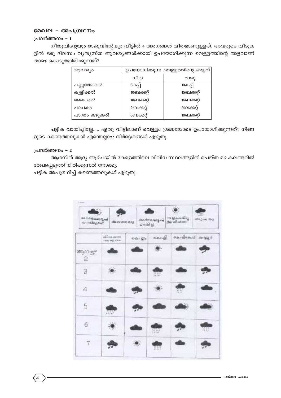### മേഖല - അപഗ്രഥനം

### പ്രവർത്തനം - 1

ഗീതുവിന്റേയും രാജുവിന്റേയും വീട്ടിൽ 4 അംഗങ്ങൾ വീതമാണുള്ളത്. അവരുടെ വീടുക ളിൽ ഒരു ദിവസം വ്യത്യസ്ത ആവശ്യങ്ങൾക്കായി ഉപയോഗിക്കുന്ന വെള്ളത്തിന്റെ അളവാണ് താഴെ കൊടുത്തിരിക്കുന്നത്?

| ആവശ്യം       | ഉപയോഗിക്കുന്ന വെള്ളത്തിന്റെ അളവ് |            |  |
|--------------|----------------------------------|------------|--|
|              | ഗീത                              | രാജു       |  |
| പല്ലുതേക്കൽ  | 6കപ്പ്                           | 10കപ്പ്    |  |
| കുളിക്കൽ     | 10ബക്കറ്റ്                       | 15ബക്കറ്റ് |  |
| അലക്കൽ       | 18ബക്കറ്റ്                       | 16ബക്കറ്റ് |  |
| പാചകം        | 2ബക്കറ്റ്                        | 2ബക്കറ്റ്  |  |
| പാത്രം കഴുകൽ | ബെക്കറ്റ്                        | 10ബക്കറ്റ് |  |

പട്ടിക വായിച്ചില്ലേ..... ഏതു വീട്ടിലാണ് വെള്ളം ശ്രദ്ധയോടെ ഉപയോഗിക്കുന്നത്? നിങ്ങ ളുടെ കണ്ടെത്തലുകൾ എന്തെല്ലാം? നിർദ്ദേശങ്ങൾ എഴുതൂ

### പ്രവർത്തനം - 2

ആഗസ്ത് ആദ്യ ആഴ്ചയിൽ കേരളത്തിലെ വിവിധ സ്ഥലങ്ങളിൽ പെയ്ത മഴ കലണ്ടറിൽ രേഖപ്പെടുത്തിയിരിക്കുന്നത് നോക്കു.

പട്ടിക അപഗ്രഥിച്ച് കണ്ടെത്തലുകൾ എഴുതൂ.

| <b>பிப்பி வேலி இசுரி</b><br>ையிலுள்ள | discriminants.                 | தியில்      | dio de celo citi | ையூதவஙியூ<br>அடி வி.வாம் | <b>ANGEL</b><br>$al = 2 \, cm$ 208 |
|--------------------------------------|--------------------------------|-------------|------------------|--------------------------|------------------------------------|
|                                      | ഷിക്ഷ പക<br><b>IYYO MA FRO</b> | mills : gle | க்கூறி           |                          | $\sin 4 \mu \text{g}$ in           |
| க்குமையி<br>2                        |                                |             |                  |                          |                                    |
| 3                                    |                                |             | neer<br>Hitt     |                          |                                    |
| 4                                    |                                |             |                  | HH.                      |                                    |
| 5                                    | 11111                          |             |                  |                          |                                    |
| 6                                    | VEK,                           |             | me               |                          | W.                                 |
| 7                                    |                                |             | 33331            |                          |                                    |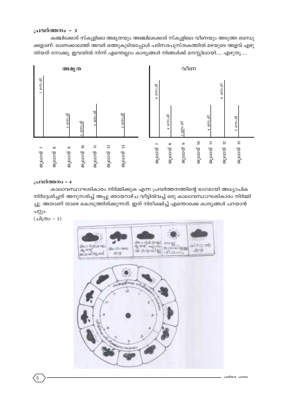### **പ്രവർത്തനം - 3**

കഞ്ചിക്കോട് സ്കൂളിലെ അമൃതയും അഞ്ചിലക്കോട് സ്കൂളിലെ വീണയും അടുത്ത ബന്ധു ക്കളാണ്. ഓണക്കാലത്ത് അവർ ഒത്തുകൂടിയപ്പോൾ പരിസരപുസ്തകത്തിൽ മഴയുടെ അളവ് എഴു തിയത് നോക്കൂ. ഇവയിൽ നിന്ന് എന്തെല്ലാം കാര്യങ്ങൾ നിങ്ങൾക്ക് മനസ്സിലായി..... എഴുതൂ.....



### **പ്രവർത്തനം - 4**

കാലാവസ്ഥാഘടികാരം നിർമ്മിക്കുക എന്ന പ്രവർത്തനത്തിന്റെ ഭാഗമായി അധ്യാപിക നിർദ്ദേശിച്ചത് അനുസരിച്ച് അപ്പു ഞായറാഴ്ച വീട്ടിൽവച്ച് ഒരു കാലാവസ്ഥാഘടികാരം നിർമ്മി ച്ചു. അതാണ് താഴെ കൊടുത്തിരിക്കുന്നത്. ഇത് നിരീക്ഷിച്ച് എന്തൊക്കെ കാരൃങ്ങൾ പറയാൻ പറ്റും.

(ചിത്രം -  $2)$ 

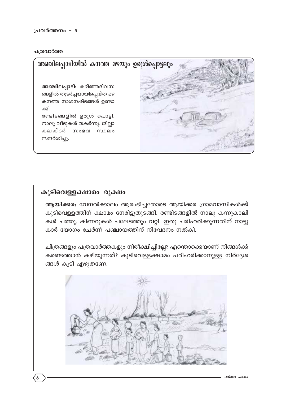### പത്രവാർത്ത



# കുടിവെള്ളക്ഷാമം രൂക്ഷം

ആയിക്കര: വേനൽക്കാലം ആരംഭിച്ചതോടെ ആയിക്കര ഗ്രാമവാസികൾക്ക് കുടിവെള്ളത്തിന് ക്ഷാമം നേരിട്ടുതുടങ്ങി. രണ്ടിടങ്ങളിൽ നാലു കന്നുകാലി കൾ ചത്തു. കിണറുകൾ പലേടത്തും വറ്റി. ഇതു പരിഹരിക്കുന്നതിന് നാട്ടു കാർ യോഗം ചേർന്ന് പഞ്ചായത്തിന് നിവേദനം നൽകി.

ചിത്രങ്ങളും പത്രവാർത്തകളും നിരീക്ഷിച്ചില്ലേ? എന്തൊക്കെയാണ് നിങ്ങൾക്ക് കണ്ടെത്താൻ കഴിയുന്നത്? കുടിവെള്ളക്ഷാമം പരിഹരിക്കാനുള്ള നിർദ്ദേശ ങ്ങൾ കൂടി എഴുതണേ.

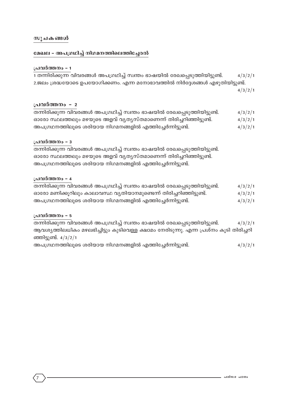### മേഖല - അപഗ്രഥിച്ച് നിഗമനത്തിലെത്തിച്ചേരൽ

### **പ്രവർത്തനം - 1**

| 1 തന്നിരിക്കുന്ന വിവരങ്ങൾ അപഗ്രഥിച്ച് സ്വന്തം ഭാഷയിൽ രേഖപ്പെടുത്തിയിട്ടുണ്ട്. | 4/3/2/1 |
|-------------------------------------------------------------------------------|---------|
| 2.ജലം ശ്രദ്ധയോടെ ഉപയോഗിക്കണം. എന്ന മനോഭാവത്തിൽ നിർദ്ദേശങ്ങൾ എഴുതിയിട്ടുണ്ട്.  |         |
|                                                                               | 4/3/2/1 |

### <u> പ്രവർത്തനം - 2</u>

| തന്നിരിക്കുന്ന വിവരങ്ങൾ അപഗ്രഥിച്ച് സ്വന്തം ഭാഷയിൽ രേഖപ്പെടുത്തിയിട്ടുണ്ട്. | 4/3/2/1 |
|-----------------------------------------------------------------------------|---------|
| ഓരോ സ്ഥലത്തലും മഴയുടെ അളവ് വൃതൃസ്തമാണെന്ന് തിരിച്ചറിഞ്ഞിട്ടുണ്ട്.           | 4/3/2/1 |
| അപഗ്രഥനത്തിലൂടെ ശരിയായ നിഗമനങ്ങളിൽ എത്തിച്ചേർന്നിട്ടുണ്ട്.                  | 4/3/2/1 |

### **പ്രവർത്തനം - 3**

X∂n-cn-°p∂ hnh-c-߃ A]-{K-Yn®v kz¥w `mj-bn¬ tcJ-s∏-Sp-Øn-bn-´p-≠v. ഓരോ സ്ഥലത്തലും മഴയുടെ അളവ് വൃതൃസ്തമാണെന്ന് തിരിച്ചറിഞ്ഞിട്ടുണ്ട്. അപഗ്രഥനത്തിലൂടെ ശരിയായ നിഗമനങ്ങളിൽ എത്തിച്ചേർന്നിട്ടുണ്ട്.

### **പ്രവർത്തനം - 4**

| തന്നിരിക്കുന്ന വിവരങ്ങൾ അപഗ്രഥിച്ച് സ്വന്തം ഭാഷയിൽ രേഖപ്പെടുത്തിയിട്ടുണ്ട്. | 4/3/2/1 |
|-----------------------------------------------------------------------------|---------|
| ഓരോ മണിക്കൂറിലും കാലാവസ്ഥ വ്യതിയാനമുണ്ടെന്ന് തിരിച്ചറിഞ്ഞിട്ടുണ്ട്.         | 4/3/2/1 |
| അപഗ്രഥനത്തിലൂടെ ശരിയായ നിഗമനങ്ങളിൽ എത്തിച്ചേർന്നിട്ടുണ്ട്.                  | 4/3/2/1 |

### **പ്രവർത്തനം - 5**

7

തന്നിരിക്കുന്ന വിവരങ്ങൾ അപഗ്രഥിച്ച് സ്വന്തം ഭാഷയിൽ രേഖപ്പെടുത്തിയിട്ടുണ്ട്.  $4/3/2/1$ ആവശ്യത്തിലധികം മഴലഭിച്ചിട്ടും കുടിവെള്ള ക്ഷാമം നേരിടുന്നു. എന്ന പ്രശ്നം കൂടി തിരിച്ചറി ഞ്ഞിട്ടുണ്ട്.  $4/3/2/1$ അപഗ്രഥനത്തിലൂടെ ശരിയായ നിഗമനങ്ങളിൽ എത്തിച്ചേർന്നിട്ടുണ്ട്.  $4/3/2/1$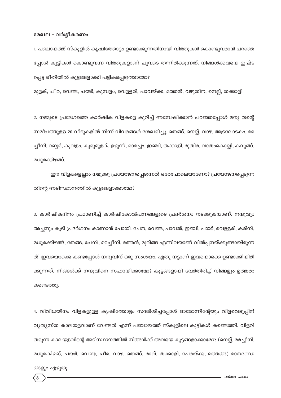### മേഖല - വർഗ്ഗീകരണം

1. പഞ്ചായത്ത് സ്കൂളിൽ കൃഷിത്തോട്ടം ഉണ്ടാക്കുന്നതിനായി വിത്തുകൾ കൊണ്ടുവരാൻ പറഞ്ഞ പ്പോൾ കുട്ടികൾ കൊണ്ടുവന്ന വിത്തുകളാണ് ചുവടെ തന്നിരിക്കുന്നത്. നിങ്ങൾക്കവയെ ഇഷ്ട പ്പെട്ട രീതിയിൽ കൂട്ടങ്ങളാക്കി പട്ടികപ്പെടുത്താമോ?

മുളക്, ചീര, വെണ്ട, പയർ, കുമ്പളം, വെള്ളരി, പാവയ്ക്ക, മത്തൻ, വഴുതിന, നെല്ല്, തക്കാളി

2. നമ്മുടെ പ്രദേശത്തെ കാർഷിക വിളകളെ കുറിച്ച് അന്വേഷിക്കാൻ പറഞ്ഞപ്പോൾ മനു തന്റെ സമീപത്തുള്ള 20 വീടുകളിൽ നിന്ന് വിവരങ്ങൾ ശേഖരിച്ചു. തെങ്ങ്, നെല്ല്, വാഴ, ആടലോടകം, മര ച്ചീനി, റബ്ബർ, കൂവളം, കുരുമുളക്, ഉഴുന്ന്, രാമച്ചം, ഇഞ്ചി, തക്കാളി, മുതിര, വാതംകൊല്ലി, കവുങ്ങ്, മധുരക്കിഴങ്ങ്.

ഈ വിളകളെല്ലാം നമുക്കു പ്രയോജനപ്പെടുന്നത് ഒരേപോലെയാണോ? പ്രയോജനപ്പെടുന്ന തിന്റെ അടിസ്ഥാനത്തിൽ കൂട്ടങ്ങളാക്കാമോ?

3. കാർഷികദിനം പ്രമാണിച്ച് കാർഷികോൽപന്നങ്ങളുടെ പ്രദർശനം നടക്കുകയാണ്. നന്ദുവും അച്ഛനും കൂടി പ്രദർശനം കാണാൻ പോയി. ചേന, വെണ്ട, പാവൽ, ഇഞ്ചി, പയർ, വെള്ളരി, കരിമ്പ്, മധുരക്കിഴങ്ങ്, തേങ്ങ, ചേമ്പ്, മരച്ചീനി, മത്തൻ, മുരിങ്ങ എന്നിവയാണ് വിൽപ്പനയ്ക്കുണ്ടായിരുന്ന ത്. ഇവയൊക്കെ കണ്ടപ്പോൾ നന്ദുവിന് ഒരു സംശയം. ഏതു നട്ടാണ് ഇവയൊക്കെ ഉണ്ടാക്കിയിരി ക്കുന്നത്. നിങ്ങൾക്ക് നന്ദുവിനെ സഹായിക്കാമോ? കൂട്ടങ്ങളായി വേർതിരിച്ച് നിങ്ങളും ഉത്തരം കണ്ടെത്തു.

4. വിവിധയിനം വിളകളുള്ള കൃഷിത്തോട്ടം സന്ദർശിച്ചപ്പോൾ ഓരോന്നിന്റേയും വിളവെടുപ്പിന് വ്യത്യസ്ത കാലയളവാണ് വേണ്ടത് എന്ന് പഞ്ചായത്ത് സ്കൂളിലെ കുട്ടികൾ കണ്ടെത്തി. വിളവ് തരുന്ന കാലയളവിന്റെ അടിസ്ഥാനത്തിൽ നിങ്ങൾക്ക് അവയെ കൂട്ടങ്ങളാക്കാമോ? (നെല്ല്, മരച്ചീനി, മധുരകിഴങ്, പയർ, വെണ്ട, ചീര, വാഴ, തെങ്ങ്, മാവ്, തക്കാളി, പേരയ്ക്ക, മത്തങ്ങ) മാനദണ്ഡ

ങ്ങളും എഴുതൂ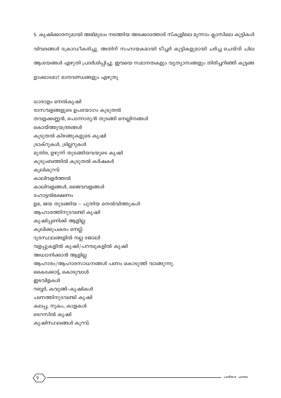5. കൃഷിക്കാരനുമായി അഭിമുഖം നടത്തിയ അടക്കാത്തോട് സ്കൂളിലെ മൂന്നാം ക്ലാസിലെ കുട്ടികൾ വിവരങ്ങൾ ക്രോഡീകരിച്ചു. അതിന് സഹായകമായി ടീച്ചർ കുട്ടികളുമായി ചർച്ച ചെയ്ത് ചില ആശയങ്ങൾ എഴുതി പ്രദർശിപ്പിച്ചു. ഇവയെ സമാനതകളും വ്യത്യാസങ്ങളും തിരിച്ചറിഞ്ഞ് കൂട്ടങ്ങ ളാക്കാമോ? മാനദണ്ഡങ്ങളും എഴുതൂ

ധാരാളം നെൽകൃഷി രാസവളങ്ങളുടെ ഉപയോഗം കൂടുതൽ തവളക്കണ്ണൻ, പൊന്നാര്യൻ തുടങ്ങി നെല്ലിനങ്ങൾ കൊയ്ത്തുയന്ത്രങ്ങൾ കൂടുതൽ കിഴങ്ങുകളുടെ കൃഷി ട്രാക്റുകൾ, ട്രില്ലറുകൾ മുതിര, ഉഴുന്ന് തുടങ്ങിയവയുടെ കൃഷി കുടുംബത്തിൽ കൂടുതൽ കർഷകർ കൂലികുറവ് കാലിവളർത്തൽ കാലിവളങ്ങൾ, ജൈവവളങ്ങൾ ഹോട്ടൽഭക്ഷണം ഉമ, ജയ തുടങ്ങിയ – പുതിയ നെൽവിത്തുകൾ ആഹാരത്തിനുവേണ്ടി കൃഷി കൃഷിപ്പണിക്ക് ആളില്ല കൂലിക്കുപകരം നെല്ല് ദൂരസ്ഥലങ്ങളിൽ നല്ല ജോലി വളപ്പുകളിൽ കൃഷി/പറമ്പുകളിൽ കൃഷി അധ്വാനിക്കാൻ ആളില്ല ആഹാരം/ആഹാരസാധനങ്ങൾ പണം കൊടുത്ത് വാങ്ങുന്നു. കൈക്കോട്ട്, കൊടുവാൾ ഇടവിളകൾ റബ്ബർ, കവുങ്ങ്-കൃഷികൾ പണത്തിനുവേണ്ടി കൃഷി കലപ്പ, നുകം, കാളകൾ ടെറസിൽ കൃഷി കൃഷിസ്ഥലങ്ങൾ കുറവ്.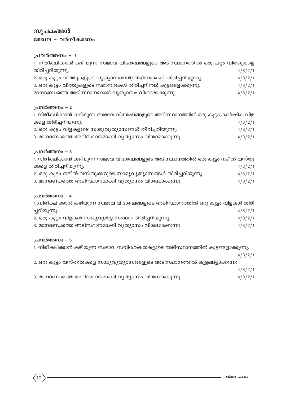# സുചകങ്ങൾ <u>മേഖല - വർ</u>ഗീകരണം

# പ്രവർത്തനം - 1

| 1. നിരീക്ഷിക്കാൻ കഴിയുന്ന സ്വഭാവ വിശേഷങ്ങളുടെ അടിസ്ഥാനത്തിൽ ഒരു പറ്റം വിത്തുകളെ |         |
|---------------------------------------------------------------------------------|---------|
| തിരിച്ചറിയുന്നു.                                                                | 4/3/2/1 |
| 2. ഒരു കൂട്ടം വിത്തുകളുടെ വ്യത്യാസങ്ങൾ/വിഭിന്നതകൾ തിരിച്ചറിയുന്നു.              | 4/3/2/1 |
| 3. ഒരു കൂട്ടം വിത്തുകളുടെ സമാനതകൾ തിരിച്ചറിഞ്ഞ് കൂട്ടങ്ങളാക്കുന്നു.             | 4/3/2/1 |
| മാനദണ്ഡത്തെ അടിസ്ഥാനമാക്കി വൃത്യാസം വിശദമാക്കുന്നു.                             | 4/3/2/1 |
|                                                                                 |         |

# പ്രവർത്തനം - 2

| 1. നിരീക്ഷിക്കാൻ കഴിയുന്ന സ്വഭാവ വിശേഷങ്ങളുടെ അടിസ്ഥാനത്തിൽ ഒരു കൂട്ടം കാർഷിക വിള |         |
|-----------------------------------------------------------------------------------|---------|
| കളെ തിരിച്ചറിയുന്നു.                                                              | 4/3/2/1 |
| 2. ഒരു കൂട്ടം വിളകളുടെ സാമ്യവ്യത്യാസങ്ങൾ തിരിച്ചറിയുന്നു.                         | 4/3/2/1 |
| 3. മാനദണ്ഡത്തെ അടിസ്ഥാനമാക്കി വ്യത്യാസം വിശദമാക്കുന്നു.                           | 4/3/2/1 |

### പ്രവർത്തനം - 3

| 1. നിരീക്ഷിക്കാൻ കഴിയുന്ന സ്വഭാവ വിശേഷങ്ങളുടെ അടിസ്ഥാനത്തിൽ ഒരു കൂട്ടം നടീൽ വസ്തു |         |
|-----------------------------------------------------------------------------------|---------|
| ക്കളെ തിരിച്ചറിയുന്നു.                                                            | 4/3/2/1 |
| 2. ഒരു കൂട്ടം നടീൽ വസ്തുക്കളുടെ സാമൃവൃത്യാസങ്ങൾ തിരിച്ചറിയുന്നു.                  | 4/3/2/1 |
| 3. മാനദണ്ഡത്തെ അടിസ്ഥാനമാക്കി വൃത്യാസം വിശദമാക്കുന്നു.                            | 4/3/2/1 |

### പ്രവർത്തനം - 4

| 1.നിരീക്ഷിക്കാൻ കഴിയുന്ന സ്വഭാവ വിശേഷങ്ങളുടെ അടിസ്ഥാനത്തിൽ ഒരു കൂട്ടം വിളകൾ തിരി |         |
|----------------------------------------------------------------------------------|---------|
| ച്ചറിയുന്നു.                                                                     | 4/3/2/1 |
| 2. ഒരു കൂട്ടം വിളകൾ സാമൃവൃത്യാസങ്ങൾ തിരിച്ചറിയുന്നു.                             | 4/3/2/1 |
| 3. മാനദണ്ഡത്തെ അടിസ്ഥാനമാക്കി വൃത്യാസം വിശദമാക്കുന്നു.                           | 4/3/2/1 |

### പ്രവർത്തനം - 5

1. നിരീക്ഷിക്കാൻ കഴിയുന്ന സ്വഭാവ സവിശേഷതകളുടെ അടിസ്ഥാനത്തിൽ കൂട്ടങ്ങളാക്കുന്നു.  $4/3/2/1$ 

2. ഒരു കൂട്ടം വസ്തുതകളെ സാമൃവൃത്യാസങ്ങളുടെ അടിസ്ഥാനത്തിൽ കൂട്ടങ്ങളാക്കുന്നു.

 $4/3/2/1$ 

3. മാനദണ്ഡത്തെ അടിസ്ഥാനമാക്കി വൃത്യാസം വിശദമാക്കുന്നു.  $4/3/2/1$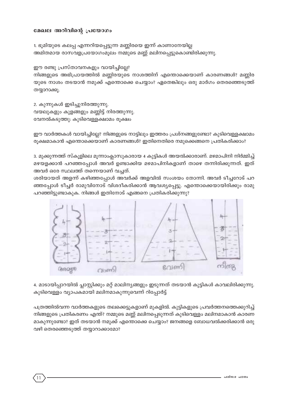### മേഖല അറിവിന്റെ പ്രയോഗം

1. ഭൂമിയുടെ കലപ്പ എന്നറിയപ്പെട്ടുന്ന മണ്ണിരയെ ഇന്ന് കാണാനേയില്ല അമിതമായ രാസവളപ്രയോഗംമൂലം നമ്മുടെ മണ്ണ് മലിനപ്പെട്ടുകൊണ്ടിരിക്കുന്നു.

ഈ രണ്ടു പ്രസ്താവനകളും വായിച്ചില്ലേ? നിങ്ങളുടെ അഭിപ്രായത്തിൽ മണ്ണിരയുടെ നാശത്തിന് എന്തൊക്കെയാണ് കാരണങ്ങൾ? മണ്ണിര യുടെ നാശം തടയാൻ നമുക്ക് എന്തൊക്കെ ചെയ്യാം? ഏതെങ്കിലും ഒരു മാർഗം തെരഞ്ഞെടുത്ത് തയ്യാറാക്കൂ.

2. കുന്നുകൾ ഇടിച്ചുനിരത്തുന്നു. വയലുകളും കുളങ്ങളും മണ്ണിട്ട് നിരത്തുന്നു. വേനൽകടുത്തു: കുടിവെള്ളക്ഷാമം രുക്ഷം

ഈ വാർത്തകൾ വായിച്ചില്ലേ? നിങ്ങളുടെ നാട്ടിലും ഇത്തരം പ്രശ്നങ്ങളുണ്ടോ? കുടിവെള്ളക്ഷാമം രുക്ഷമാകാൻ എന്തൊക്കെയാണ് കാരണങ്ങൾ? ഇതിനെതിരെ നമുക്കെങ്ങനെ പ്രതികരിക്കാം?

3. മുക്കുന്നത്ത് സ്കൂളിലെ മൂന്നാംക്ലാസുകാരായ 4 കുട്ടികൾ അയൽക്കാരാണ്. മഴമാപിനി നിർമ്മിച്ച് മഴയളക്കാൻ പറഞ്ഞപ്പോൾ അവർ ഉണ്ടാക്കിയ മഴമാപിനികളാണ് താഴെ തന്നിരിക്കുന്നത്. ഇത് അവർ ഒരേ സ്ഥലത്ത് തന്നെയാണ് വച്ചത്.

ശരിയായത് അളന്ന് കഴിഞ്ഞപ്പോൾ അവർക്ക് അളവിൽ സംശയം തോന്നി. അവർ ടീച്ചറോട് പറ ഞ്ഞപ്പോൾ ടീച്ചർ രാമുവിനോട് വിശദീകരിക്കാൻ ആവശ്യപ്പെട്ടു. എന്തൊക്കെയായിരിക്കും രാമു പറഞ്ഞിട്ടുണ്ടാകുക. നിങ്ങൾ ഇതിനോട് എങ്ങനെ പ്രതികരിക്കുന്നു?



4. മാടായിപ്പാറയിൽ പ്ലാസ്റ്റിക്കും മറ്റ് മാലിന്യങ്ങളും ഇടുന്നത് തടയാൻ കുട്ടികൾ കാവലിരിക്കുന്നു. കുടിവെള്ളം വ്യാപകമായി മലിനമാകുന്നുവെന്ന് റിപ്പോർട്ട്

പത്രത്തിൽവന്ന വാർത്തകളുടെ തലക്കെട്ടുകളാണ് മുകളിൽ. കുട്ടികളുടെ പ്രവർത്തനത്തെക്കുറിച്ച് നിങ്ങളുടെ പ്രതികരണം എന്ത്? നമ്മുടെ മണ്ണ് മലിനപ്പെടുന്നത് കുടിവെള്ളം മലിനമാകാൻ കാരണ മാകുന്നുണ്ടോ? ഇത് തടയാൻ നമുക്ക് എന്തൊക്കെ ചെയ്യാം? ജനങ്ങളെ ബോധവൽക്കരിക്കാൻ ഒരു വഴി തെരഞ്ഞെടുത്ത് തയ്യാറാക്കാമോ?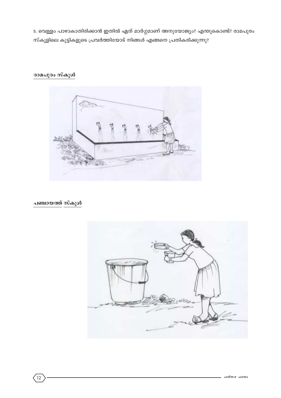5. വെള്ളം പാഴാകാതിരിക്കാൻ ഇതിൽ ഏത് മാർഗ്ഗമാണ് അനുയോജ്യം? എന്തുകൊണ്ട്? രാമപുരം സ്കൂളിലെ കുട്ടികളുടെ പ്രവർത്തിയോട് നിങ്ങൾ എങ്ങനെ പ്രതികരിക്കുന്നു?

# രാമപുരം സ്കൂൾ



പഞ്ചായത്ത് സ്കൂൾ

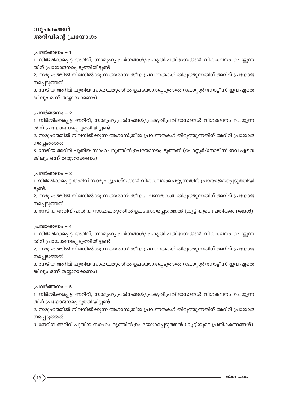# സുചകങ്ങൾ അറിവിന്റെ പ്രയോഗം

### **പ്രവർത്തനം - 1**

1. നിർമ്മിക്കപ്പെട്ട അറിവ്, സാമൂഹ്യപ്രശ്നങ്ങൾ/പ്രകൃതിപ്രതിഭാസങ്ങൾ വിശകലനം ചെയ്യുന്ന തിന് പ്രയോജനപ്പെടുത്തിയിട്ടുണ്ട്.

2. സമൂഹത്തിൽ നിലനിൽക്കുന്ന അശാസ്ത്രീയ പ്രവണതകൾ തിരുത്തുന്നതിന് അറിവ് പ്രയോജ നപ്പെടുത്തൽ.

3. നേടിയ അറിവ് പുതിയ സാഹചര്യത്തിൽ ഉപയോഗപ്പെടുത്തൽ (പോസ്റ്റർ/നോട്ടീസ് ഇവ ഏതെ ങ്കിലും ഒന്ന് തയ്യാറാക്കണം)

### **പ്രവർത്തനം - 2**

1. നിർമ്മിക്കപ്പെട്ട അറിവ്, സാമൂഹ്യപ്രശ്നങ്ങൾ/പ്രകൃതിപ്രതിഭാസങ്ങൾ വിശകലനം ചെയ്യുന്ന തിന് പ്രയോജനപ്പെടുത്തിയിട്ടുണ്ട്.

2. സമൂഹത്തിൽ നിലനിൽക്കുന്ന അശാസ്ത്രീയ പ്രവണതകൾ തിരുത്തുന്നതിന് അറിവ് പ്രയോജ നപ്പെടുത്തൽ.

3. നേടിയ അറിവ് പുതിയ സാഹചര്യത്തിൽ ഉപയോഗപ്പെടുത്തൽ (പോസ്റ്റർ/നോട്ടീസ് ഇവ ഏതെ ങ്കിലും ഒന്ന് തയ്യാറാക്കണം)

### **പ്രവർത്തനം – 3**

1. നിർമ്മിക്കപ്പെട്ട അറിവ് സാമൂഹ്യപ്രശ്നങ്ങൾ വിശകലനംചെയ്യുന്നതിന് പ്രയോജനപ്പെടുത്തിയി ്ട്ടുണ്ട്.

2. സമൂഹത്തിൽ നിലനിൽക്കുന്ന അശാസ്ത്രീയപ്രവണതകൾ തിരുത്തുന്നതിന് അറിവ് പ്രയോജ നപ്പെടുത്തൽ.

3. നേടിയ അറിവ് പുതിയ സാഹചര്യത്തിൽ ഉപയോഗപ്പെടുത്തൽ (കുട്ടിയുടെ പ്രതികരണങ്ങൾ)

### **പ്രവർത്തനം - 4**

1. നിർമ്മിക്കപ്പെട്ട അറിവ്, സാമൂഹ്യപ്രശ്നങ്ങൾ/പ്രകൃതിപ്രതിഭാസങ്ങൾ വിശകലനം ചെയ്യുന്ന തിന് പ്രയോജനപ്പെടുത്തിയിട്ടുണ്ട്.

2. സമൂഹത്തിൽ നിലനിൽക്കുന്ന അശാസ്ത്രീയ പ്രവണതകൾ തിരുത്തുന്നതിന് അറിവ് പ്രയോജ നപ്പെടുത്തൽ.

3. നേടിയ അറിവ് പുതിയ സാഹചര്യത്തിൽ ഉപയോഗപ്പെടുത്തൽ (പോസ്റ്റർ/നോട്ടീസ് ഇവ ഏതെ ങ്കിലും ഒന്ന് തയ്യാറാക്കണം)

### **പ്രവർത്തനം - 5**

1. നിർമ്മിക്കപ്പെട്ട അറിവ്, സാമൂഹ്യപ്രശ്നങ്ങൾ/പ്രകൃതിപ്രതിഭാസങ്ങൾ വിശകലനം ചെയ്യുന്ന തിന് പ്രയോജനപ്പെടുത്തിയിട്ടുണ്ട്.

2. സമൂഹത്തിൽ നിലനിൽക്കുന്ന അശാസ്ത്രീയ പ്രവണതകൾ തിരുത്തുന്നതിന് അറിവ് പ്രയോജ നപ്പെടുത്തൽ.

3. നേടിയ അറിവ് പുതിയ സാഹചര്യത്തിൽ ഉപയോഗപ്പെടുത്തൽ (കുട്ടിയുടെ പ്രതികരണങ്ങൾ)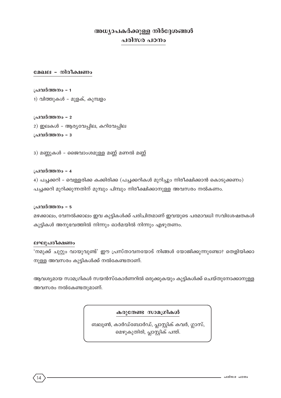# അധ്യാപകർക്കുള്ള നിർദ്ദേശങ്ങൾ പരിസര പഠനം

### മേഖല - നിരീക്ഷണം

പ്രവർത്തനം - 1 1) വിത്തുകൾ – മുളക്, കുമ്പളം

പ്രവർത്തനം - 2 2) ഇലകൾ - ആര്യവേപ്പില, കറിവേപ്പില പ്രവർത്തനം - 3

3) മണ്ണുകൾ - ജൈവാംശമുള്ള മണ്ണ് മണൽ മണ്ണ്

പ്രവർത്തനം - 4

4) പച്ചക്കറി - വെള്ളരിക്ക കക്കിരിക്ക (പച്ചക്കറികൾ മുറിച്ചും നിരീക്ഷിക്കാൻ കൊടുക്കണം) പച്ചക്കറി മുറിക്കുന്നതിന് മുമ്പും പിമ്പും നിരീക്ഷിക്കാനുള്ള അവസരം നൽകണം.

### പ്രവർത്തനം - 5

മഴക്കാലം, വേനൽക്കാലം ഇവ കുട്ടികൾക്ക് പരിചിതമാണ് ഇവയുടെ പരമാവധി സവിശേഷതകൾ കുട്ടികൾ അനുഭവത്തിൽ നിന്നും ഓർമയിൽ നിന്നും എഴുതണം.

### ലഘുപരീക്ഷണം

'നമുക്ക് ചുറ്റും വായുവുണ്ട്' ഈ പ്രസ്താവനയോട് നിങ്ങൾ യോജിക്കുന്നുണ്ടോ? തെളിയിക്കാ നുള്ള അവസരം കുട്ടികൾക്ക് നൽകേണ്ടതാണ്.

ആവശ്യമായ സാമഗ്രികൾ സയൻസ്കോർണറിൽ ഒരുക്കുകയും കുട്ടികൾക്ക് ചെയ്തുനോക്കാനുള്ള അവസരം നൽകേണ്ടതുമാണ്.

കരുതേണ്ട സാമഗ്രികൾ

ബലൂൺ, കാർഡ്ബോർഡ്, പ്ലാസ്റ്റിക് കവർ, ഗ്ലാസ്, മെഴുകുതിരി, പ്ലാസ്റ്റിക് പന്ത്.